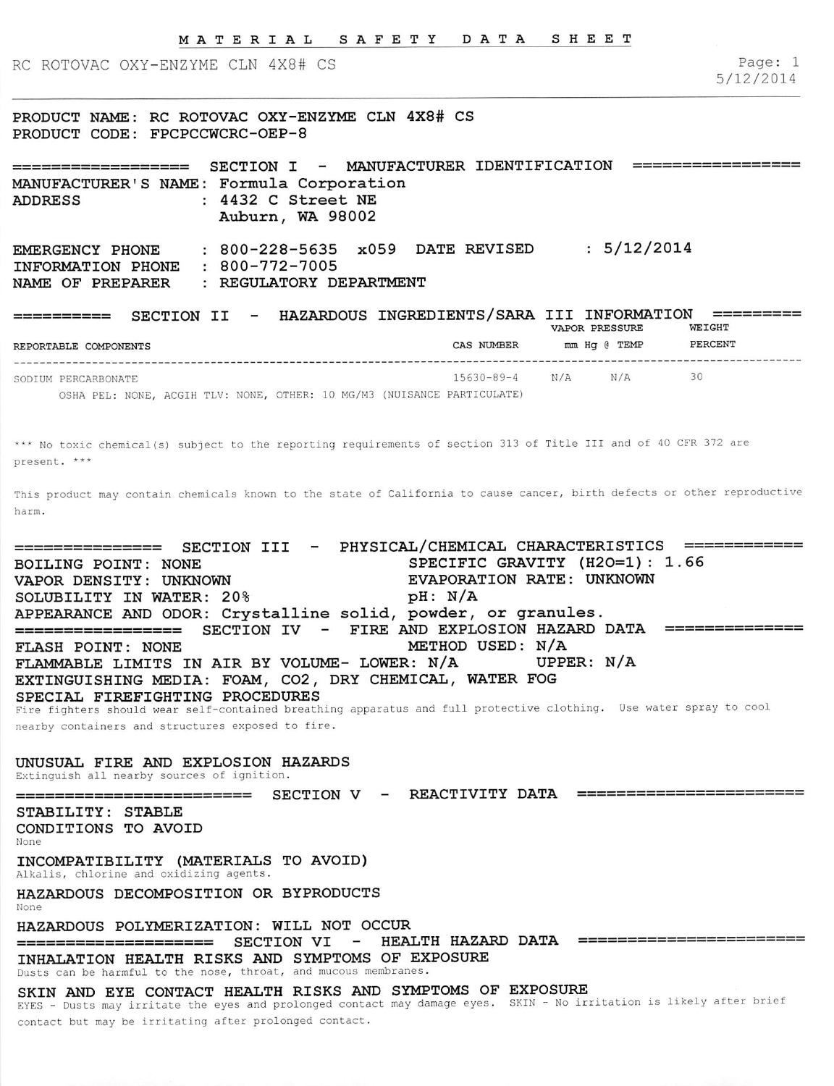RC ROTOVAC OXY-ENZYME CLN 4X8# CS

Page: 1 5/12/2014

PRODUCT NAME: RC ROTOVAC OXY-ENZYME CLN 4X8# CS PRODUCT CODE: FPCPCCWCRC-OEP-8

================== SECTION I - MANUFACTURER IDENTIFICATION MANUFACTURER'S NAME: Formula Corporation  $: 4432$  C Street NE Auburn, WA 98002 EMERGENCY PHONE INFORMATION PHONE 800-772-7005 NAME OF PREPARER 800-228-5635 x059 DATE REVISED : 5/12/2014 REGULATORY DEPARTMENT

SECTION II - HAZARDOUS INGREDIENTS/SARA III INFORMATION == VAPOR PRESSURE WEIGHT ========== PERCENT REPORTABLE COMPONENTS CAS NUMBER mm Hq @ TEMP SODIUM PERCARBONATE 15630-89-4  $N/A$   $N/A$  $30$ 

OSHA PEL: NONE, ACGIH TLV: NONE, OTHER: 10 MG/M3 {NUISANCE PARTICULATE)

\*\*\* No toxic chemical(s) subject to the reporting requirements of section 313 of Title III and of 40 CFR 372 are present. \*\*\*

This product may contain chemicals known to the state of California to cause cancer, birth defects or other reproductive harm.

=============== SECTION III - PHYSICAL/CHEMICAL CHARACTERISTICS =========== BOILING POINT: NONE SPECIFIC GRAVITY {H20=l): 1.66 EVAPORATION RATE: UNKNOWN<br>pH: N/A SOLUBILITY IN WATER: 20% APPEARANCE AND ODOR: Crystalline solid, powder, or granules. ================ SECTION IV - FIRE AND EXPLOSION HAZARD DATA ============== FLASH POINT: NONE<br>FLAMMABLE LIMITS IN AIR BY VOLUME- LOWER: N/A UPPER: N/A FLAMMABLE LIMITS IN AIR BY VOLUME- LOWER: N/A EXTINGUISHING MEDIA: FOAM, C02, DRY CHEMICAL, WATER FOG SPECIAL FIREFIGHTING PROCEDURES Fire fighters should wear self-contained breathing apparatus and full protective clothing. Use water spray to cool

nearby containers and structures exposed to fire.

# UNUSUAL FIRE AND EXPLOSION HAZARDS

Extinguish all nearby sources of ignition.

STABILITY: STABLE CONDITIONS TO AVOID None INCOMPATIBILITY (MATERIALS TO AVOID) Alkalis, chlorine and oxidizing agents. HAZARDOUS DECOMPOSITION OR BYPRODUCTS None HAZARDOUS POLYMERIZATION: WILL NOT OCCUR - HEALTH HAZARD DATA =======================

========================= SECTION V - REACTIVITY DATA ======================

INHALATION HEALTH RISKS AND SYMPTOMS OF EXPOSURE Dusts can be harmful to the nose, throat, and mucous membranes.

SKIN AND EYE CONTACT HEALTH RISKS AND SYMPTOMS OF EXPOSURE

EYES - Dusts may irritate the eyes and prolonged contact may damage eyes. SKIN - No irritation is likely after brief contact but may be irritating after prolonged contact.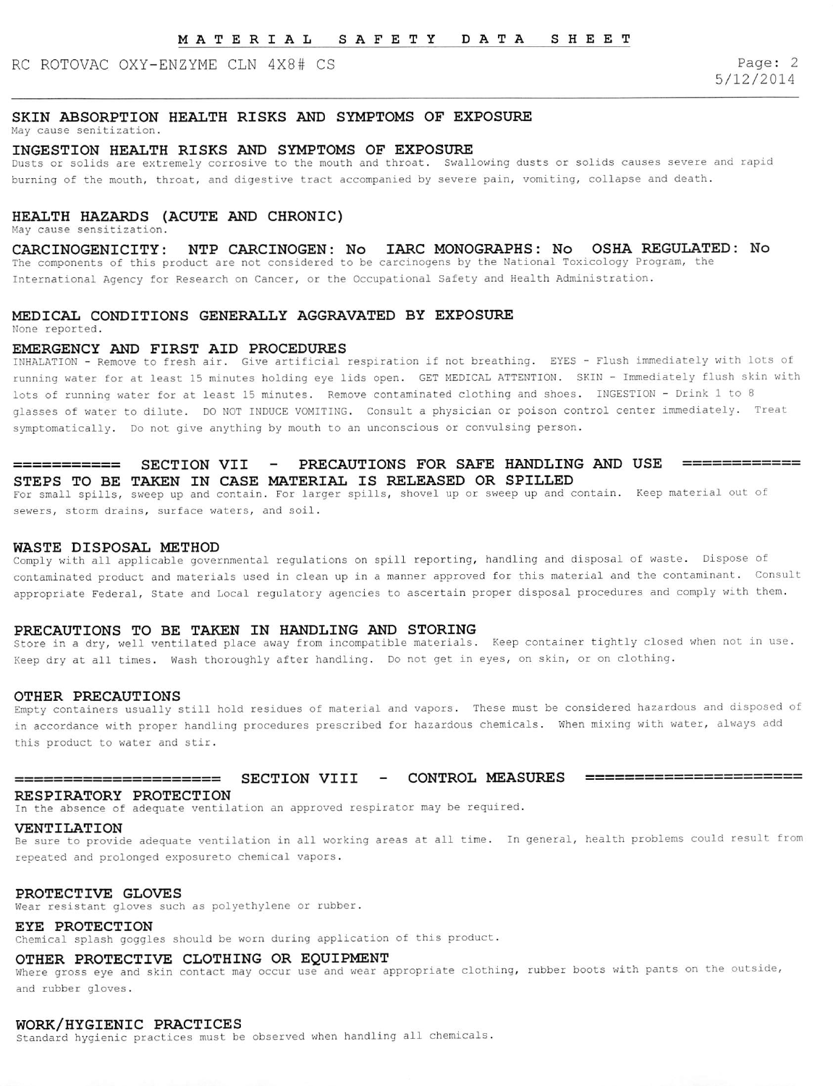# RC ROTOVAC OXY-ENZYME CLN 4X8# CS Page: 2

5/12/2014

## SKIN ABSORPTION HEALTH RISKS AND SYMPTOMS OF EXPOSURE

May cause senitization.

## INGESTION HEALTH RISKS AND SYMPTOMS OF EXPOSURE

Dusts or solids are extremely corrosive to the mouth and throat. Swallowing dusts or solids causes severe and rapid burning of the mouth, throat, and digestive tract accompanied by severe pain, vomiting, collapse and death.

# HEALTH HAZARDS (ACUTE AND CHRONIC)

May cause sensitization.

CARCINOGENICITY: NTP CARCINOGEN: No lARC MONOGRAPHS: No OSHA REGULATED: No The components of this product are not considered to be carcinogens by the National Toxicology Program, the International Agency for Research on Cancer, or the Occupational Safety and Health Administration.

# MEDICAL CONDITIONS GENERALLY AGGRAVATED BY EXPOSURE

Mone reported.

## EMERGENCY AND FIRST AID PROCEDURES

INHALATION - Remove to fresh air. Give artificial respiration if not breathing. EYES - Flush immediately with lots of running water for at least 15 minutes holding eye lids open. GET MEDICAL ATTENTION. SKIN - Immediately flush skin with lots of running water for at least 15 minutes. Remove contaminated clothing and shoes. INGESTION - Drink 1 to 8 glasses of water to dilute. DO NOT INDUCE VOMITING. Consult a physician or poison control center immediately. Treat symptomatically. Do not give anything by mouth to an unconscious or convulsing person.

## ========== SECTION VII - PRECAUTIONS FOR SAFE HANDLING AND USE ========= STEPS TO BE TAKEN IN CASE MATERIAL IS RELEASED OR SPILLED

For small spills, sweep up and contain. For larger spills, shovel up or sweep up and contain. Keep material out of sewers, storm drains, surface waters, and soil.

### WASTE DISPOSAL METHOD

Comply with all applicable governmental regulations on spill reporting, handling and disposal of waste. Dispose of contaminated product and materials used in clean up in a manner approved for this material and the contaminant. Consult appropriate Federal, State and Local regulatory agencies to ascertain proper disposal procedures and comply with them.

#### PRECAUTIONS TO BE TAKEN IN HANDLING AND STORING

Store in a dry, well ventilated place away from incompatible materials. Keep container tightly closed when not in use. Keep dry at all times. Wash thoroughly after handling. Do not get in eyes, on skin, or on clothing.

#### OTHER PRECAUTIONS

Empty containers usually still hold residues of material and vapors. These must be considered hazardous and disposed of in accordance with proper handling procedures prescribed for hazardous chemicals. When mixing with water, always add this product to water and stir.

# ================= SECTION VIII - CONTROL MEASXJRES =====================

## RESPIRATORY PROTECTION

In the absence of adequate ventilation an approved respirator may be required.

## VENTILATION

Be sure to provide adequate ventilation in all working areas at all time. In general, health problems could result from repeated and prolonged exposureto chemical vapors.

### PROTECTIVE GLOVES

Wear resistant gloves such as polyethylene or rubber.

### EYE PROTECTION

Chemical splash goggles should be worn during application of this product.

## OTHER PROTECTIVE CLOTHING OR EQUIPMENT

Where gross eye and skin contact may occur use and wear appropriate clothing, rubber boots with pants on the outside, and rubber gloves.

### WORK/HYGIENIC PRACTICES

standard hygienic practices must be observed when handling all chemicals.